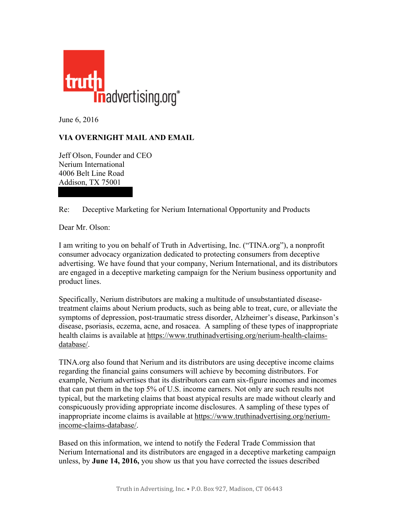

June 6, 2016

## **VIA OVERNIGHT MAIL AND EMAIL**

Jeff Olson, Founder and CEO Nerium International 4006 Belt Line Road Addison, TX 75001

Re: Deceptive Marketing for Nerium International Opportunity and Products

Dear Mr. Olson:

I am writing to you on behalf of Truth in Advertising, Inc. ("TINA.org"), a nonprofit consumer advocacy organization dedicated to protecting consumers from deceptive advertising. We have found that your company, Nerium International, and its distributors are engaged in a deceptive marketing campaign for the Nerium business opportunity and product lines.

Specifically, Nerium distributors are making a multitude of unsubstantiated diseasetreatment claims about Nerium products, such as being able to treat, cure, or alleviate the symptoms of depression, post-traumatic stress disorder, Alzheimer's disease, Parkinson's disease, psoriasis, eczema, acne, and rosacea. A sampling of these types of inappropriate health claims is available at [https://www.truthinadvertising.org/nerium-health-claims](https://www.truthinadvertising.org/nerium-health-claims- database/)[database/.](https://www.truthinadvertising.org/nerium-health-claims- database/)

TINA.org also found that Nerium and its distributors are using deceptive income claims regarding the financial gains consumers will achieve by becoming distributors. For example, Nerium advertises that its distributors can earn six-figure incomes and incomes that can put them in the top 5% of U.S. income earners. Not only are such results not typical, but the marketing claims that boast atypical results are made without clearly and conspicuously providing appropriate income disclosures. A sampling of these types of inappropriate income claims is available at [https://www.truthinadvertising.org/nerium](https://www.truthinadvertising.org/nerium-income-claims- database/)[income-claims-database/.](https://www.truthinadvertising.org/nerium-income-claims- database/)

Based on this information, we intend to notify the Federal Trade Commission that Nerium International and its distributors are engaged in a deceptive marketing campaign unless, by **June 14, 2016,** you show us that you have corrected the issues described